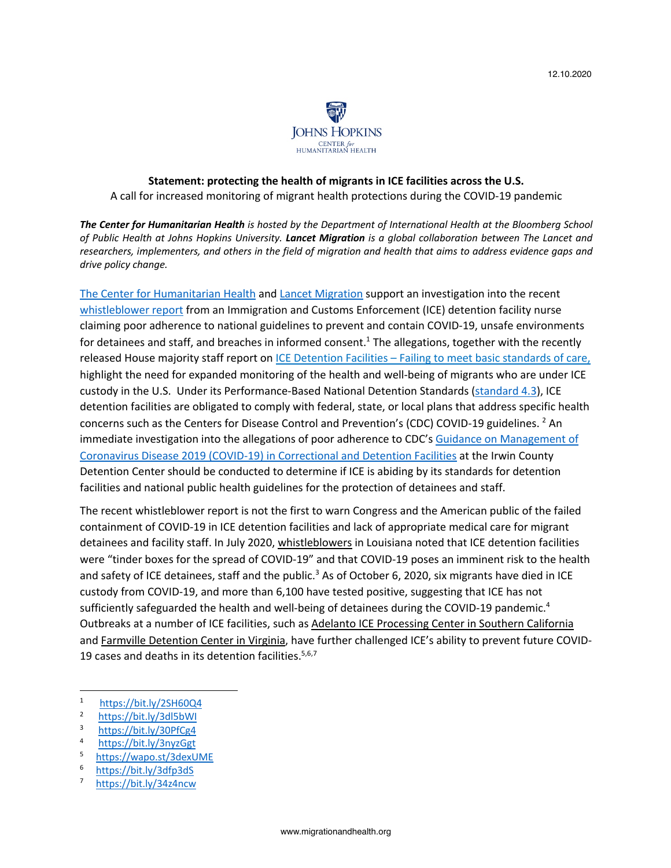

## **Statement: protecting the health of migrants in ICE facilities across the U.S.** A call for increased monitoring of migrant health protections during the COVID-19 pandemic

*The Center for Humanitarian Health is hosted by the Department of International Health at the Bloomberg School of Public Health at Johns Hopkins University. Lancet Migration is a global collaboration between The Lancet and researchers, implementers, and others in the field of migration and health that aims to address evidence gaps and drive policy change.* 

The Center for Humanitarian Health and Lancet Migration support an investigation into the recent whistleblower report from an Immigration and Customs Enforcement (ICE) detention facility nurse claiming poor adherence to national guidelines to prevent and contain COVID-19, unsafe environments for detainees and staff, and breaches in informed consent.<sup>1</sup> The allegations, together with the recently released House majority staff report on ICE Detention Facilities – Failing to meet basic standards of care, highlight the need for expanded monitoring of the health and well-being of migrants who are under ICE custody in the U.S. Under its Performance-Based National Detention Standards (standard 4.3), ICE detention facilities are obligated to comply with federal, state, or local plans that address specific health concerns such as the Centers for Disease Control and Prevention's (CDC) COVID-19 guidelines. <sup>2</sup> An immediate investigation into the allegations of poor adherence to CDC's Guidance on Management of Coronavirus Disease 2019 (COVID-19) in Correctional and Detention Facilities at the Irwin County Detention Center should be conducted to determine if ICE is abiding by its standards for detention facilities and national public health guidelines for the protection of detainees and staff.

The recent whistleblower report is not the first to warn Congress and the American public of the failed containment of COVID-19 in ICE detention facilities and lack of appropriate medical care for migrant detainees and facility staff. In July 2020, whistleblowers in Louisiana noted that ICE detention facilities were "tinder boxes for the spread of COVID-19" and that COVID-19 poses an imminent risk to the health and safety of ICE detainees, staff and the public.<sup>3</sup> As of October 6, 2020, six migrants have died in ICE custody from COVID-19, and more than 6,100 have tested positive, suggesting that ICE has not sufficiently safeguarded the health and well-being of detainees during the COVID-19 pandemic.<sup>4</sup> Outbreaks at a number of ICE facilities, such as Adelanto ICE Processing Center in Southern California and Farmville Detention Center in Virginia, have further challenged ICE's ability to prevent future COVID-19 cases and deaths in its detention facilities. $5,6,7$ 

- <sup>1</sup> https://bit.ly/2SH60Q4
- 2  $\frac{\text{https://bit.ly/3d15bW1}}{\text{https://bit.ly/3d15bW1}}$
- 3 https://bit.ly/30PfCg4
- 4 https://bit.ly/3nyzGgt
- 5 https://wapo.st/3dexUME
- 6 https://bit.ly/3dfp3dS
- 7 https://bit.ly/34z4ncw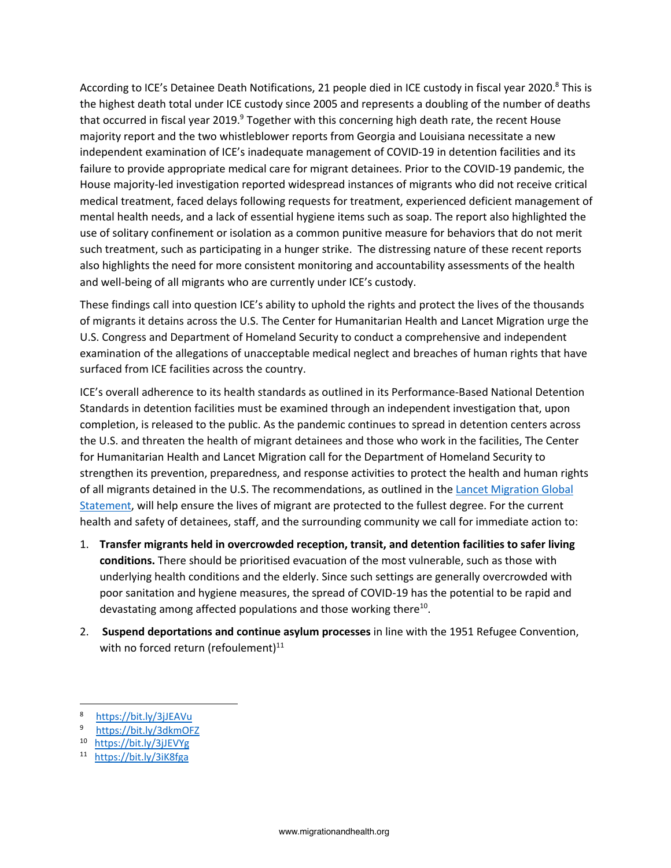According to ICE's Detainee Death Notifications, 21 people died in ICE custody in fiscal year 2020.<sup>8</sup> This is the highest death total under ICE custody since 2005 and represents a doubling of the number of deaths that occurred in fiscal year 2019.<sup>9</sup> Together with this concerning high death rate, the recent House majority report and the two whistleblower reports from Georgia and Louisiana necessitate a new independent examination of ICE's inadequate management of COVID-19 in detention facilities and its failure to provide appropriate medical care for migrant detainees. Prior to the COVID-19 pandemic, the House majority-led investigation reported widespread instances of migrants who did not receive critical medical treatment, faced delays following requests for treatment, experienced deficient management of mental health needs, and a lack of essential hygiene items such as soap. The report also highlighted the use of solitary confinement or isolation as a common punitive measure for behaviors that do not merit such treatment, such as participating in a hunger strike. The distressing nature of these recent reports also highlights the need for more consistent monitoring and accountability assessments of the health and well-being of all migrants who are currently under ICE's custody.

These findings call into question ICE's ability to uphold the rights and protect the lives of the thousands of migrants it detains across the U.S. The Center for Humanitarian Health and Lancet Migration urge the U.S. Congress and Department of Homeland Security to conduct a comprehensive and independent examination of the allegations of unacceptable medical neglect and breaches of human rights that have surfaced from ICE facilities across the country.

ICE's overall adherence to its health standards as outlined in its Performance-Based National Detention Standards in detention facilities must be examined through an independent investigation that, upon completion, is released to the public. As the pandemic continues to spread in detention centers across the U.S. and threaten the health of migrant detainees and those who work in the facilities, The Center for Humanitarian Health and Lancet Migration call for the Department of Homeland Security to strengthen its prevention, preparedness, and response activities to protect the health and human rights of all migrants detained in the U.S. The recommendations, as outlined in the Lancet Migration Global Statement, will help ensure the lives of migrant are protected to the fullest degree. For the current health and safety of detainees, staff, and the surrounding community we call for immediate action to:

- 1. **Transfer migrants held in overcrowded reception, transit, and detention facilities to safer living conditions.** There should be prioritised evacuation of the most vulnerable, such as those with underlying health conditions and the elderly. Since such settings are generally overcrowded with poor sanitation and hygiene measures, the spread of COVID-19 has the potential to be rapid and devastating among affected populations and those working there<sup>10</sup>.
- 2. **Suspend deportations and continue asylum processes** in line with the 1951 Refugee Convention, with no forced return (refoulement) $^{11}$

- 9 https://bit.ly/3dkmOFZ
- 10 https://bit.ly/3jJEVYg
- 11 https://bit.ly/3iK8fga

 $\frac{8}{9}$  https://bit.ly/3jJEAVu